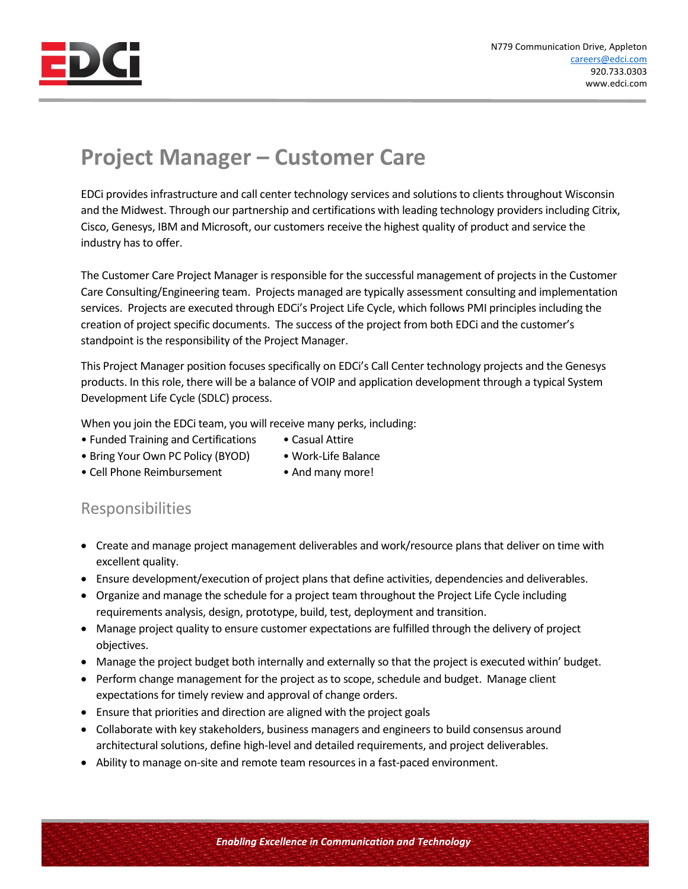

## **Project Manager – Customer Care**

EDCi provides infrastructure and call center technology services and solutions to clients throughout Wisconsin and the Midwest. Through our partnership and certifications with leading technology providers including Citrix, Cisco, Genesys, IBM and Microsoft, our customers receive the highest quality of product and service the industry has to offer.

The Customer Care Project Manager is responsible for the successful management of projects in the Customer Care Consulting/Engineering team. Projects managed are typically assessment consulting and implementation services. Projects are executed through EDCi's Project Life Cycle, which follows PMI principles including the creation of project specific documents. The success of the project from both EDCi and the customer's standpoint is the responsibility of the Project Manager.

This Project Manager position focuses specifically on EDCi's Call Center technology projects and the Genesys products. In this role, there will be a balance of VOIP and application development through a typical System Development Life Cycle (SDLC) process.

When you join the EDCi team, you will receive many perks, including:

- Funded Training and Certifications Casual Attire
- Bring Your Own PC Policy (BYOD) Work-Life Balance
	-
- Cell Phone Reimbursement And many more!
	-

## Responsibilities

- Create and manage project management deliverables and work/resource plans that deliver on time with excellent quality.
- Ensure development/execution of project plans that define activities, dependencies and deliverables.
- Organize and manage the schedule for a project team throughout the Project Life Cycle including requirements analysis, design, prototype, build, test, deployment and transition.
- Manage project quality to ensure customer expectations are fulfilled through the delivery of project objectives.
- Manage the project budget both internally and externally so that the project is executed within' budget.
- Perform change management for the project as to scope, schedule and budget. Manage client expectations for timely review and approval of change orders.
- Ensure that priorities and direction are aligned with the project goals
- Collaborate with key stakeholders, business managers and engineers to build consensus around architectural solutions, define high-level and detailed requirements, and project deliverables.
- Ability to manage on-site and remote team resources in a fast-paced environment.